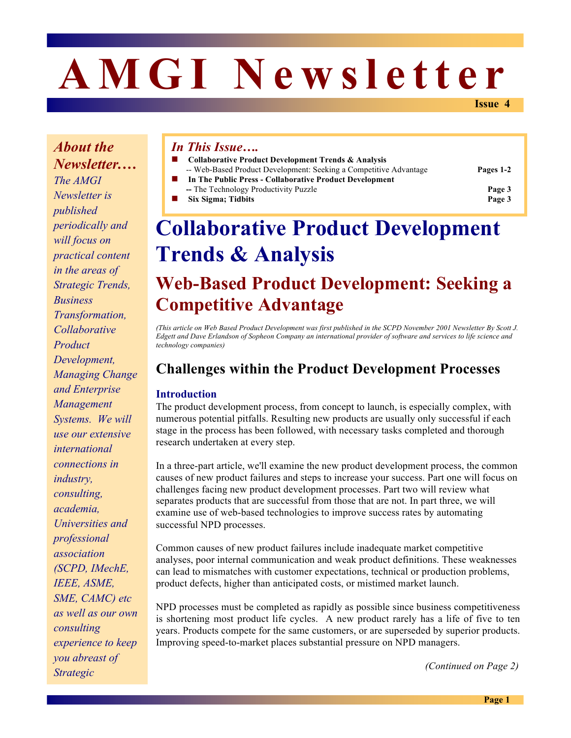# **AMGI Newsletter**

**Issue 4**

*About the Newsletter.… The AMGI Newsletter is published periodically and will focus on practical content in the areas of Strategic Trends, Business Transformation, Collaborative Product Development, Managing Change and Enterprise Management Systems. We will use our extensive international connections in industry, consulting, academia, Universities and professional association (SCPD, IMechE, IEEE, ASME, SME, CAMC) etc as well as our own consulting experience to keep you abreast of Strategic* 

#### *In This Issue….*

- ! **Collaborative Product Development Trends & Analysis**
	- -- Web-Based Product Development: Seeking a Competitive Advantage **Pages 1-2**

- ! **In The Public Press Collaborative Product Development --** The Technology Productivity Puzzle **Page 3**
- ! **Six Sigma; Tidbits Page 3**

## **Collaborative Product Development Trends & Analysis**

## **Web-Based Product Development: Seeking a Competitive Advantage**

*(This article on Web Based Product Development was first published in the SCPD November 2001 Newsletter By Scott J. Edgett and Dave Erlandson of Sopheon Company an international provider of software and services to life science and technology companies)* 

### **Challenges within the Product Development Processes**

#### **Introduction**

The product development process, from concept to launch, is especially complex, with numerous potential pitfalls. Resulting new products are usually only successful if each stage in the process has been followed, with necessary tasks completed and thorough research undertaken at every step.

In a three-part article, we'll examine the new product development process, the common causes of new product failures and steps to increase your success. Part one will focus on challenges facing new product development processes. Part two will review what separates products that are successful from those that are not. In part three, we will examine use of web-based technologies to improve success rates by automating successful NPD processes.

Common causes of new product failures include inadequate market competitive analyses, poor internal communication and weak product definitions. These weaknesses can lead to mismatches with customer expectations, technical or production problems, product defects, higher than anticipated costs, or mistimed market launch.

NPD processes must be completed as rapidly as possible since business competitiveness is shortening most product life cycles. A new product rarely has a life of five to ten years. Products compete for the same customers, or are superseded by superior products. Improving speed-to-market places substantial pressure on NPD managers.

*(Continued on Page 2)*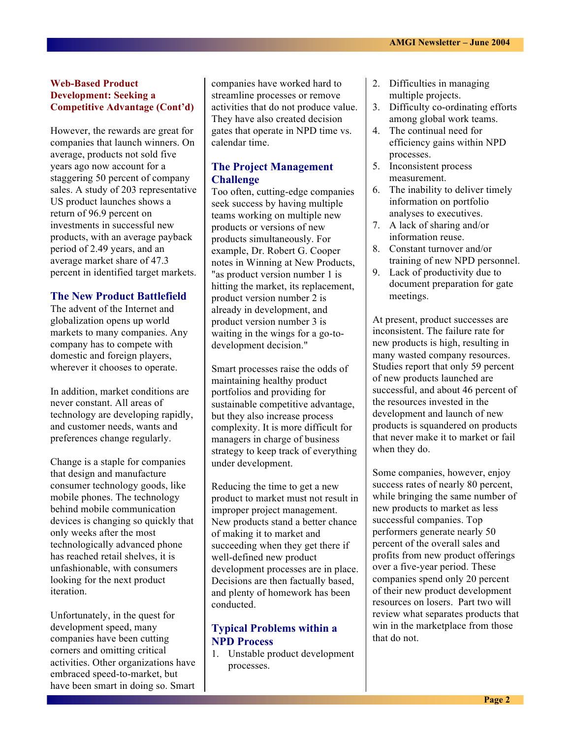#### **Web-Based Product Development: Seeking a Competitive Advantage (Cont'd)**

However, the rewards are great for companies that launch winners. On average, products not sold five years ago now account for a staggering 50 percent of company sales. A study of 203 representative US product launches shows a return of 96.9 percent on investments in successful new products, with an average payback period of 2.49 years, and an average market share of 47.3 percent in identified target markets.

#### **The New Product Battlefield**

The advent of the Internet and globalization opens up world markets to many companies. Any company has to compete with domestic and foreign players, wherever it chooses to operate.

In addition, market conditions are never constant. All areas of technology are developing rapidly, and customer needs, wants and preferences change regularly.

Change is a staple for companies that design and manufacture consumer technology goods, like mobile phones. The technology behind mobile communication devices is changing so quickly that only weeks after the most technologically advanced phone has reached retail shelves, it is unfashionable, with consumers looking for the next product iteration.

Unfortunately, in the quest for development speed, many companies have been cutting corners and omitting critical activities. Other organizations have embraced speed-to-market, but have been smart in doing so. Smart companies have worked hard to streamline processes or remove activities that do not produce value. They have also created decision gates that operate in NPD time vs. calendar time.

#### **The Project Management Challenge**

Too often, cutting-edge companies seek success by having multiple teams working on multiple new products or versions of new products simultaneously. For example, Dr. Robert G. Cooper notes in Winning at New Products, "as product version number 1 is hitting the market, its replacement, product version number 2 is already in development, and product version number 3 is waiting in the wings for a go-todevelopment decision."

Smart processes raise the odds of maintaining healthy product portfolios and providing for sustainable competitive advantage, but they also increase process complexity. It is more difficult for managers in charge of business strategy to keep track of everything under development.

Reducing the time to get a new product to market must not result in improper project management. New products stand a better chance of making it to market and succeeding when they get there if well-defined new product development processes are in place. Decisions are then factually based, and plenty of homework has been conducted.

#### **Typical Problems within a NPD Process**

1. Unstable product development processes.

- 2. Difficulties in managing multiple projects.
- 3. Difficulty co-ordinating efforts among global work teams.
- 4. The continual need for efficiency gains within NPD processes.
- 5. Inconsistent process measurement.
- 6. The inability to deliver timely information on portfolio analyses to executives.
- 7. A lack of sharing and/or information reuse.
- 8. Constant turnover and/or training of new NPD personnel.
- 9. Lack of productivity due to document preparation for gate meetings.

At present, product successes are inconsistent. The failure rate for new products is high, resulting in many wasted company resources. Studies report that only 59 percent of new products launched are successful, and about 46 percent of the resources invested in the development and launch of new products is squandered on products that never make it to market or fail when they do.

Some companies, however, enjoy success rates of nearly 80 percent, while bringing the same number of new products to market as less successful companies. Top performers generate nearly 50 percent of the overall sales and profits from new product offerings over a five-year period. These companies spend only 20 percent of their new product development resources on losers. Part two will review what separates products that win in the marketplace from those that do not.